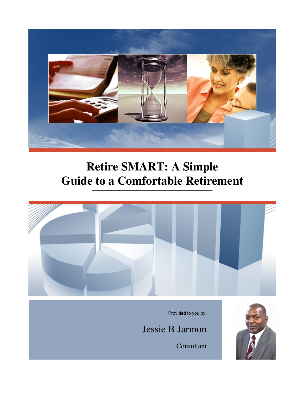

# **Retire SMART: A Simple Guide to a Comfortable Retirement**



Consultant

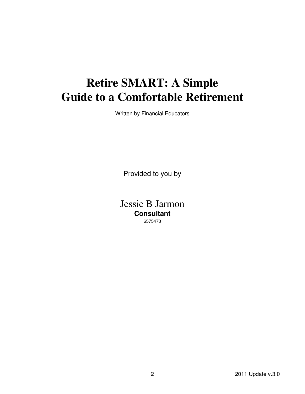# **Retire SMART: A Simple Guide to a Comfortable Retirement**

Written by Financial Educators

Provided to you by

Jessie B Jarmon **Consultant** 6575473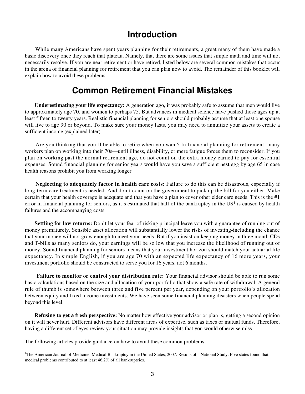### **Introduction**

 While many Americans have spent years planning for their retirements, a great many of them have made a basic discovery once they reach that plateau. Namely, that there are some issues that simple math and time will not necessarily resolve. If you are near retirement or have retired, listed below are several common mistakes that occur in the arena of financial planning for retirement that you can plan now to avoid. The remainder of this booklet will explain how to avoid these problems.

### **Common Retirement Financial Mistakes**

**Underestimating your life expectancy:** A generation ago, it was probably safe to assume that men would live to approximately age 70, and women to perhaps 75. But advances in medical science have pushed those ages up at least fifteen to twenty years. Realistic financial planning for seniors should probably assume that at least one spouse will live to age 90 or beyond. To make sure your money lasts, you may need to annuitize your assets to create a sufficient income (explained later).

 Are you thinking that you'll be able to retire when you want? In financial planning for retirement, many workers plan on working into their 70s—until illness, disability, or mere fatigue forces them to reconsider. If you plan on working past the normal retirement age, do not count on the extra money earned to pay for essential expenses. Sound financial planning for senior years would have you save a sufficient nest egg by age 65 in case health reasons prohibit you from working longer.

**Neglecting to adequately factor in health care costs:** Failure to do this can be disastrous, especially if long-term care treatment is needed. And don't count on the government to pick up the bill for you either. Make certain that your health coverage is adequate and that you have a plan to cover other elder care needs. This is the #1 error in financial planning for seniors, as it's estimated that half of the bankruptcy in the  $US<sup>1</sup>$  is caused by health failures and the accompanying costs.

**Settling for low returns:** Don't let your fear of risking principal leave you with a guarantee of running out of money prematurely. Sensible asset allocation will substantially lower the risks of investing-including the chance that your money will not grow enough to meet your needs. But if you insist on keeping money in three month CDs and T-bills as many seniors do, your earnings will be so low that you increase the likelihood of running out of money. Sound financial planning for seniors means that your investment horizon should match your actuarial life expectancy. In simple English, if you are age 70 with an expected life expectancy of 16 more years, your investment portfolio should be constructed to serve you for 16 years, not 6 months.

 **Failure to monitor or control your distribution rate:** Your financial advisor should be able to run some basic calculations based on the size and allocation of your portfolio that show a safe rate of withdrawal. A general rule of thumb is somewhere between three and five percent per year, depending on your portfolio's allocation between equity and fixed income investments. We have seen some financial planning disasters when people spend beyond this level.

**Refusing to get a fresh perspective:** No matter how effective your advisor or plan is, getting a second opinion on it will never hurt. Different advisors have different areas of expertise, such as taxes or mutual funds. Therefore, having a different set of eyes review your situation may provide insights that you would otherwise miss.

The following articles provide guidance on how to avoid these common problems.

<sup>&</sup>lt;sup>1</sup>The American Journal of Medicine: Medical Bankruptcy in the United States, 2007: Results of a National Study. Five states found that medical problems contributed to at least 46.2% of all bankruptcies.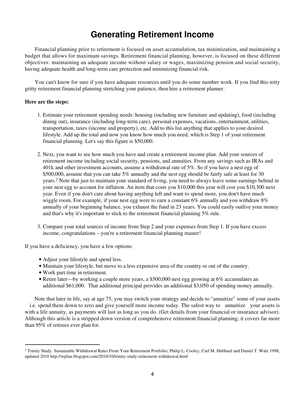## **Generating Retirement Income**

 Financial planning prior to retirement is focused on asset accumulation, tax minimization, and maintaining a budget that allows for maximum savings. Retirement financial planning, however, is focused on these different objectives: maintaining an adequate income without salary or wages, maximizing pension and social security, having adequate health and long-term care protection and minimizing financial risk.

 You can't know for sure if you have adequate resources until you do some number work. If you find this nitty gritty retirement financial planning stretching your patience, then hire a retirement planner.

### **Here are the steps:**

- Estimate your retirement spending needs: housing (including new furniture and updating), food (including 1. dining out), insurance (including long-term care), personal expenses, vacations, entertainment, utilities, transportation, taxes (income and property), etc. Add to this list anything that applies to your desired lifestyle. Add up the total and now you know how much you need, which is Step 1 of your retirement financial planning. Let's say this figure is \$50,000.
- 2. Next, you want to see how much you have and create a retirement income plan. Add your sources of retirement income including social security, pensions, and annuities. From any savings such as IRAs and 401k and other investment accounts, assume a withdrawal rate of 5%. So if you have a nest egg of \$500,000, assume that you can take 5% annually and the nest egg should be fairly safe at least for 30 years.2 Note that just to maintain your standard of living, you need to always leave some earnings behind in your nest egg to account for inflation. An item that costs you \$10,000 this year will cost you \$10,300 next year. Even if you don't care about having anything left and want to spend more, you don't have much wiggle room. For example, if your nest egg were to earn a constant 6% annually and you withdraw 8% annually of your beginning balance, you exhaust the fund in 23 years. You could easily outlive your money and that's why it's important to stick to the retirement financial planning 5% rule.
- 3. Compare your total sources of income from Step 2 and your expenses from Step 1. If you have excess income, congratulations – you're a retirement financial planning master!

If you have a deficiency, you have a few options:

- Adjust your lifestyle and spend less.
- Maintain your lifestyle, but move to a less expensive area of the country or out of the country.
- Work part time in retirement.
- Retire later—by working a couple more years, a \$500,000 nest egg growing at 6% accumulates an additional \$61,000. That additional principal provides an additional \$3,050 of spending money annually.

 Note that later in life, say at age 75, you may switch your strategy and decide to "annuitize" some of your assets i.e. spend them down to zero and give yourself more income today. The safest way to annuitize your assets is with a life annuity, as payments will last as long as you do. (Get details from your financial or insurance advisor). Although this article is a stripped down version of comprehensive retirement financial planning, it covers far more than 95% of retirees ever plan for.

 $^2$  Trinity Study: Sustainable Withdrawal Rates From Your Retirement Portfolio; Philip L. Cooley, Carl M. Hubbard and Daniel T. Walz 1998, updated 2010 http://wpfau.blogspot.com/2010/10/trinity-study-retirement-withdrawal.html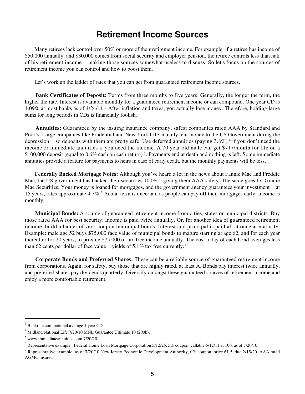### **Retirement Income Sources**

 Many retirees lack control over 50% or more of their retirement income. For example, if a retiree has income of \$50,000 annually, and \$30,000 comes from social security and employer pension, the retiree controls less than half of his retirement income making those sources somewhat useless to discuss. So let's focus on the sources of retirement income you can control and how to boost them.

Let's work up the ladder of rates that you can get from guaranteed retirement income sources.

**Bank Certificates of Deposit:** Terms from three months to five years. Generally, the longer the term, the higher the rate. Interest is available monthly for a guaranteed retirement income or can compound. One year CD is 1.09% at most banks as of 1/24/11.3 After inflation and taxes, you actually lose money. Therefore, holding large sums for long periods in CDs is financially foolish.

**Annuities:** Guaranteed by the issuing insurance company, safest companies rated AAA by Standard and Poor's. Large companies like Prudential and New York Life actually lent money to the US Government during the depression so deposits with them are pretty safe. Use deferred annuities (paying  $3.8\%$ )<sup>4</sup> if you don't need the income or immediate annuities if you need the income. A 70 year old male can get \$717/month for life on a \$100,000 deposit (equal to 8.6% cash on cash return)<sup>5</sup>. Payments end at death and nothing is left. Some immediate annuities provide a feature for payments to heirs in case of early death, but the monthly payments will be less.

**Federally Backed Mortgage Notes:** Although you've heard a lot in the news about Fannie Mae and Freddie Mac, the US government has backed their securities 100% giving them AAA safety. The same goes for Ginnie Mae Securities. Your money is loaned for mortgages, and the government agency guarantees your investment at 15 years, rates approximate 4.7%.6 Actual term is uncertain as people can pay off their mortgages early. Income is monthly.

**Municipal Bonds:** A source of guaranteed retirement income from cities, states or municipal districts. Buy those rated AAA for best security. Income is paid twice annually. Or, for another idea of guaranteed retirement income, build a ladder of zero-coupon municipal bonds. Interest and principal is paid all at once at maturity. Example: male age 52 buys \$75,000 face value of municipal bonds to mature starting at age 62, and for each year thereafter for 20 years, to provide \$75,000 of tax free income annually. The cost today of each bond averages less than 62 cents per dollar of face value yields of 5.1% tax free currently.<sup>7</sup>

**Corporate Bonds and Preferred Shares:** These can be a reliable source of guaranteed retirement income from corporations. Again, for safety, buy those that are highly rated, at least A. Bonds pay interest twice annually, and preferred shares pay dividends quarterly. Diversify amongst these guaranteed sources of retirement income and enjoy a more comfortable retirement.

<sup>3</sup> Bankrate.com national average 1 year CD.

<sup>4</sup> Midland National Life 7/20/10 MNL Guarantee Ultimate 10 (200k).

 $<sup>5</sup>$  www.immediateannuities.com 7/20/10.</sup>

 $^6$  Representative example : Federal Home Loan Mortgage Corporation 5/12/25, 5% coupon, callable 5/12/11 at 100, as of 7/20/10.

Representative example: as of 7/20/10 New Jersey Economic Development Authority, 0% coupon, price 61.5, due 2/15/20, AAA rated AGMC insured.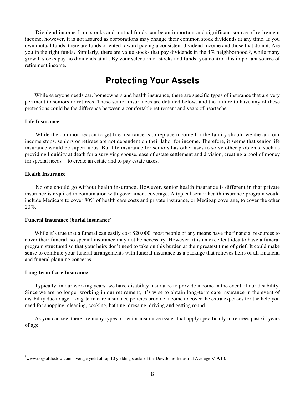Dividend income from stocks and mutual funds can be an important and significant source of retirement income, however, it is not assured as corporations may change their common stock dividends at any time. If you own mutual funds, there are funds oriented toward paying a consistent dividend income and those that do not. Are you in the right funds? Similarly, there are value stocks that pay dividends in the  $4\%$  neighborhood  $\frac{8}{3}$ , while many growth stocks pay no dividends at all. By your selection of stocks and funds, you control this important source of retirement income.

### **Protecting Your Assets**

While everyone needs car, homeowners and health insurance, there are specific types of insurance that are very pertinent to seniors or retirees. These senior insurances are detailed below, and the failure to have any of these protections could be the difference between a comfortable retirement and years of heartache.

### **Life Insurance**

 While the common reason to get life insurance is to replace income for the family should we die and our income stops, seniors or retirees are not dependent on their labor for income. Therefore, it seems that senior life insurance would be superfluous. But life insurance for seniors has other uses to solve other problems, such as providing liquidity at death for a surviving spouse, ease of estate settlement and division, creating a pool of money for special needs to create an estate and to pay estate taxes.

#### **Health Insurance**

 No one should go without health insurance. However, senior health insurance is different in that private insurance is required in combination with government coverage. A typical senior health insurance program would include Medicare to cover 80% of health care costs and private insurance, or Medigap coverage, to cover the other 20%.

#### **Funeral Insurance (burial insurance)**

While it's true that a funeral can easily cost \$20,000, most people of any means have the financial resources to cover their funeral, so special insurance may not be necessary. However, it is an excellent idea to have a funeral program structured so that your heirs don't need to take on this burden at their greatest time of grief. It could make sense to combine your funeral arrangements with funeral insurance as a package that relieves heirs of all financial and funeral planning concerns.

#### **Long-term Care Insurance**

 Typically, in our working years, we have disability insurance to provide income in the event of our disability. Since we are no longer working in our retirement, it's wise to obtain long-term care insurance in the event of disability due to age. Long-term care insurance policies provide income to cover the extra expenses for the help you need for shopping, cleaning, cooking, bathing, dressing, driving and getting round.

 As you can see, there are many types of senior insurance issues that apply specifically to retirees past 65 years of age.

<sup>&</sup>lt;sup>8</sup>www.dogsofthedow.com, average yield of top 10 yielding stocks of the Dow Jones Industrial Average 7/19/10.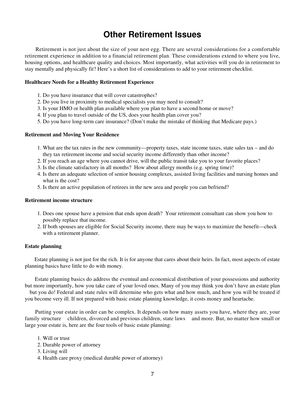### **Other Retirement Issues**

 Retirement is not just about the size of your nest egg. There are several considerations for a comfortable retirement experience in addition to a financial retirement plan. These considerations extend to where you live, housing options, and healthcare quality and choices. Most importantly, what activities will you do in retirement to stay mentally and physically fit? Here's a short list of considerations to add to your retirement checklist.

#### **Healthcare Needs for a Healthy Retirement Experience**

- 1. Do you have insurance that will cover catastrophes?
- 2. Do you live in proximity to medical specialists you may need to consult?
- 3. Is your HMO or health plan available where you plan to have a second home or move?
- 4. If you plan to travel outside of the US, does your health plan cover you?
- 5. Do you have long-term care insurance? (Don't make the mistake of thinking that Medicare pays.)

#### **Retirement and Moving Your Residence**

- What are the tax rates in the new community—property taxes, state income taxes, state sales tax and do 1. they tax retirement income and social security income differently than other income?
- 2. If you reach an age where you cannot drive, will the public transit take you to your favorite places?
- 3. Is the climate satisfactory in all months? How about allergy months (e.g. spring time)?
- 4. Is there an adequate selection of senior housing complexes, assisted living facilities and nursing homes and what is the cost?
- 5. Is there an active population of retirees in the new area and people you can befriend?

### **Retirement income structure**

- 1. Does one spouse have a pension that ends upon death? Your retirement consultant can show you how to possibly replace that income.
- 2. If both spouses are eligible for Social Security income, there may be ways to maximize the benefit—check with a retirement planner.

### **Estate planning**

 Estate planning is not just for the rich. It is for anyone that cares about their heirs. In fact, most aspects of estate planning basics have little to do with money.

 Estate planning basics do address the eventual and economical distribution of your possessions and authority but more importantly, how you take care of your loved ones. Many of you may think you don't have an estate plan but you do! Federal and state rules will determine who gets what and how much, and how you will be treated if you become very ill. If not prepared with basic estate planning knowledge, it costs money and heartache.

 Putting your estate in order can be complex. It depends on how many assets you have, where they are, your family structure children, divorced and previous children, state laws and more. But, no matter how small or large your estate is, here are the four tools of basic estate planning:

- 1. Will or trust
- 2. Durable power of attorney
- 3. Living will
- 4. Health care proxy (medical durable power of attorney)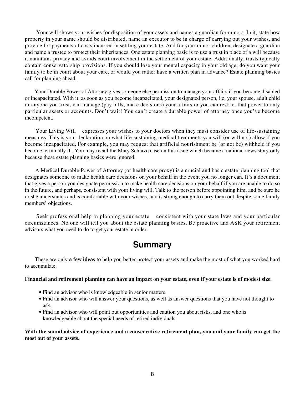Your will shows your wishes for disposition of your assets and names a guardian for minors. In it, state how property in your name should be distributed, name an executor to be in charge of carrying out your wishes, and provide for payments of costs incurred in settling your estate. And for your minor children, designate a guardian and name a trustee to protect their inheritances. One estate planning basic is to use a trust in place of a will because it maintains privacy and avoids court involvement in the settlement of your estate. Additionally, trusts typically contain conservatorship provisions. If you should lose your mental capacity in your old age, do you want your family to be in court about your care, or would you rather have a written plan in advance? Estate planning basics call for planning ahead.

 Your Durable Power of Attorney gives someone else permission to manage your affairs if you become disabled or incapacitated. With it, as soon as you become incapacitated, your designated person, i.e. your spouse, adult child or anyone you trust, can manage (pay bills, make decisions) your affairs or you can restrict that power to only particular assets or accounts. Don't wait! You can't create a durable power of attorney once you've become incompetent.

 Your Living Will expresses your wishes to your doctors when they must consider use of life-sustaining measures. This is your declaration on what life-sustaining medical treatments you will (or will not) allow if you become incapacitated. For example, you may request that artificial nourishment be (or not be) withheld if you become terminally ill. You may recall the Mary Schiavo case on this issue which became a national news story only because these estate planning basics were ignored.

 A Medical Durable Power of Attorney (or health care proxy) is a crucial and basic estate planning tool that designates someone to make health care decisions on your behalf in the event you no longer can. It's a document that gives a person you designate permission to make health care decisions on your behalf if you are unable to do so in the future, and perhaps, consistent with your living will. Talk to the person before appointing him, and be sure he or she understands and is comfortable with your wishes, and is strong enough to carry them out despite some family members' objections.

 Seek professional help in planning your estate consistent with your state laws and your particular circumstances. No one will tell you about the estate planning basics. Be proactive and ASK your retirement advisors what you need to do to get your estate in order.

### **Summary**

 These are only **a few ideas** to help you better protect your assets and make the most of what you worked hard to accumulate.

### **Financial and retirement planning can have an impact on your estate, even if your estate is of modest size.**

- Find an advisor who is knowledgeable in senior matters.
- Find an advisor who will answer your questions, as well as answer questions that you have not thought to ask.
- Find an advisor who will point out opportunities and caution you about risks, and one who is knowledgeable about the special needs of retired individuals.

**With the sound advice of experience and a conservative retirement plan, you and your family can get the most out of your assets.**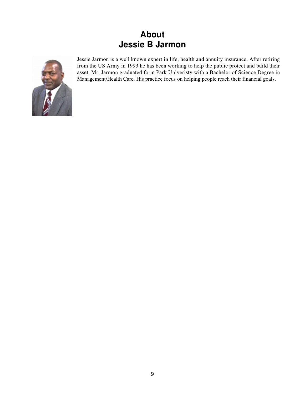# **About Jessie B Jarmon**



Jessie Jarmon is a well known expert in life, health and annuity insurance. After retiring from the US Army in 1993 he has been working to help the public protect and build their asset. Mr. Jarmon graduated form Park Univeristy with a Bachelor of Science Degree in Management/Health Care. His practice focus on helping people reach their financial goals.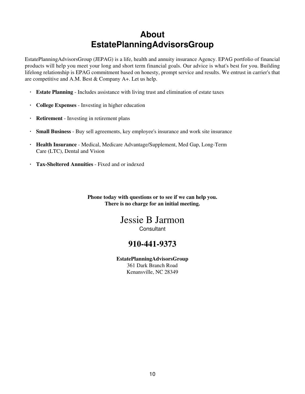# **About EstatePlanningAdvisorsGroup**

EstatePlanningAdvisorsGroup (JEPAG) is a life, health and annuity insurance Agency. EPAG portfolio of financial products will help you meet your long and short term financial goals. Our advice is what's best for you. Building lifelong relationship is EPAG commitment based on honesty, prompt service and results. We entrust in carrier's that are competitive and A.M. Best & Company A+. Let us help.

- **· Estate Planning** Includes assistance with living trust and elimination of estate taxes
- **· College Expenses** Investing in higher education
- **· Retirement** Investing in retirement plans
- **· Small Business** Buy sell agreements, key employee's insurance and work site insurance
- **· Health Insurance** Medical, Medicare Advantage/Supplement, Med Gap, Long-Term Care (LTC), Dental and Vision
- **· Tax-Sheltered Annuities** Fixed and or indexed

**Phone today with questions or to see if we can help you. There is no charge for an initial meeting.**

### Jessie B Jarmon **Consultant**

### **910-441-9373**

**EstatePlanningAdvisorsGroup** 361 Dark Branch Road Kenansville, NC 28349